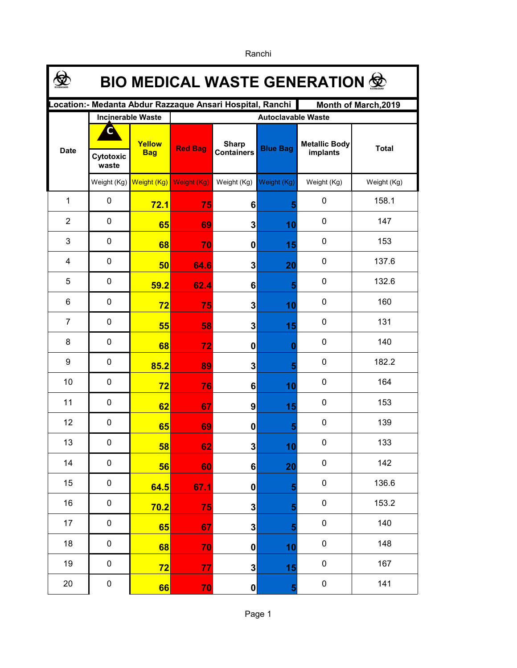**\$ BIO MEDICAL WASTE GENERATION Location:- Medanta Abdur Razzaque Ansari Hospital, Ranchi Month of March,2019 Incinerable Waste Autoclavable Waste CYellow Metallic Body Sharp implants Cytotoxic Cytotoxic Bag Containers Blue Bag Containers** Date **Red Bag Blue Bag Blue Bag E Red Bag Blue Bag E I I Blue Bag E** *Red Bag* **E** *Blue Bag* **E** *Blue Bag* **E** *Blue Bag* **E** *Blue Bag* **E** *Blue Bag* **E** *Blue Bag* **E** *Blue Bag* **E** *Blue Bag* **E Bag Containers waste** Weight (Kg) Weight (Kg) Weight (Kg) Weight (Kg) Weight (Kg) Weight (Kg) Weight (Kg) 1 0 0 158.1 **72.1 75 6 5** 2 0 **65 69 3 10** <sup>0</sup> <sup>147</sup> 3 0 **68 70 0 15** <sup>0</sup> <sup>153</sup> 4 0 **50 64.6 3 20** <sup>0</sup> 137.6 5 0 0 132.6 **59.2 62.4 6 5** 6 0 **72 75 3 10** <sup>0</sup> <sup>160</sup> 7 0 **55 58 3 15** <sup>0</sup> <sup>131</sup> 8 0 0 140 **68 72 0 0** 9 0 0 182.2 **85.2 89 3 5**  $10 \quad | \quad 0$ **72 76 6 10** <sup>0</sup> <sup>164</sup> 11 0 **62 67 9 15** <sup>0</sup> <sup>153</sup>  $12 \quad | \quad 0$ 0 139 **65 69 0 5** 13 0 **58 62 3 10** <sup>0</sup> <sup>133</sup>  $14 \quad 0$ **56 60 6 20** <sup>0</sup> <sup>142</sup> 15 0 0 136.6 **64.5 67.1 0 5** 16 0 0 153.2 **70.2 75 3 5** 17 0 0 140 **65 67 3 5** 18 0 **68 70 0 10** <sup>0</sup> <sup>148</sup> 19 0 **72 77 3 15** <sup>0</sup> <sup>167</sup> 20 0 0 141 **66 70 0 5**

Ranchi